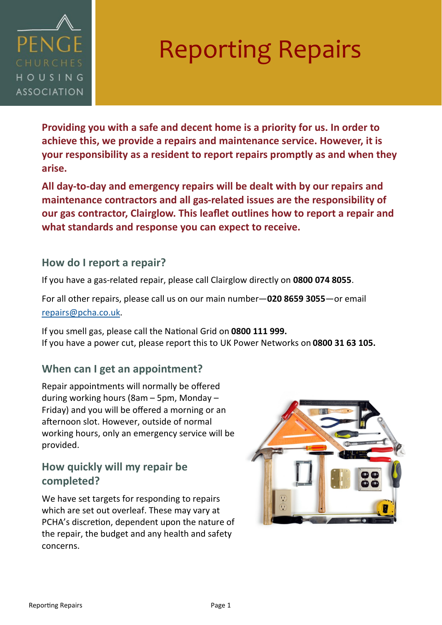

## Reporting Repairs

**Providing you with a safe and decent home is a priority for us. In order to achieve this, we provide a repairs and maintenance service. However, it is your responsibility as a resident to report repairs promptly as and when they arise.** 

**All day-to-day and emergency repairs will be dealt with by our repairs and maintenance contractors and all gas-related issues are the responsibility of our gas contractor, Clairglow. This leaflet outlines how to report a repair and what standards and response you can expect to receive.** 

#### **How do I report a repair?**

If you have a gas-related repair, please call Clairglow directly on **0800 074 8055**.

For all other repairs, please call us on our main number—**020 8659 3055**—or email [repairs@pcha.co.uk.](mailto:repairs@pcha.co.uk)

If you smell gas, please call the National Grid on **0800 111 999.** If you have a power cut, please report this to UK Power Networks on **0800 31 63 105.**

#### **When can I get an appointment?**

Repair appointments will normally be offered during working hours (8am – 5pm, Monday – Friday) and you will be offered a morning or an afternoon slot. However, outside of normal working hours, only an emergency service will be provided.

### **How quickly will my repair be completed?**

We have set targets for responding to repairs which are set out overleaf. These may vary at PCHA's discretion, dependent upon the nature of the repair, the budget and any health and safety concerns.

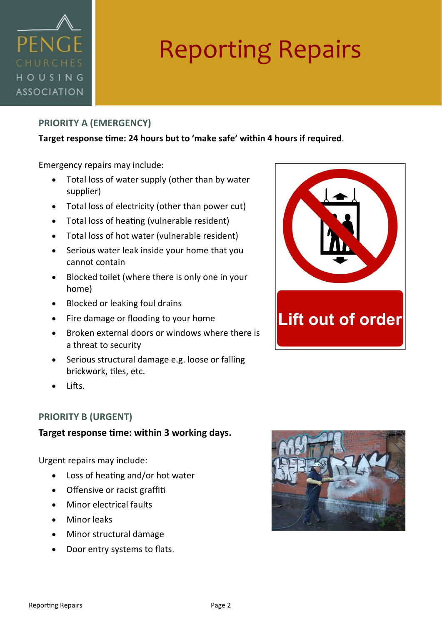

# Reporting Repairs

#### **PRIORITY A (EMERGENCY)**

#### **Target response time: 24 hours but to 'make safe' within 4 hours if required**.

Emergency repairs may include:

- Total loss of water supply (other than by water supplier)
- Total loss of electricity (other than power cut)
- Total loss of heating (vulnerable resident)
- Total loss of hot water (vulnerable resident)
- Serious water leak inside your home that you cannot contain
- Blocked toilet (where there is only one in your home)
- Blocked or leaking foul drains
- Fire damage or flooding to your home
- Broken external doors or windows where there is a threat to security
- Serious structural damage e.g. loose or falling brickwork, tiles, etc.
- Lifts.

#### **PRIORITY B (URGENT)**

#### **Target response time: within 3 working days.**

Urgent repairs may include:

- Loss of heating and/or hot water
- Offensive or racist graffiti
- Minor electrical faults
- Minor leaks
- Minor structural damage
- Door entry systems to flats.



Lift out of order